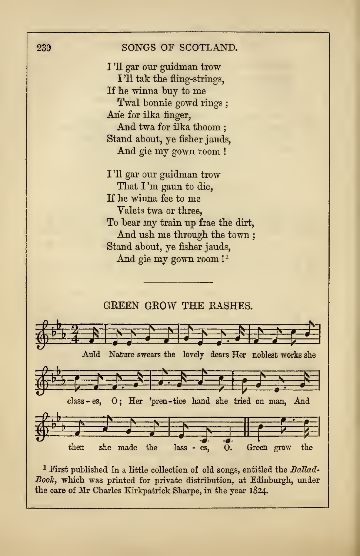

the care of Mr Charles Kirkpatrick Sharpe, in the year 1824.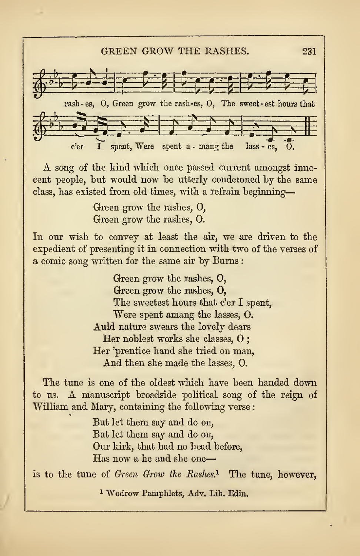## GREEN GROW THE RASHES. 231



A song of the kind which once passed current amongst inno cent people, but would now be utterly condemned by the same class, has existed from old times, with <sup>a</sup> refrain beginning—

> Green grow the rashes, 0, Green grow the rashes, 0.

In our wish to convey at least the air, we are driven to the expedient of presenting it in connection with two of the verses of a comic song written for the same aix by Burns :

> Green grow the rashes, 0, Green grow the rashes, 0, The sweetest hours that e'er I spent, Were spent amang the lasses, 0. Auld nature swears the lovely dears Her noblest works she classes, O ; Her 'prentice hand she tried on man, And then she made the lasses, 0.

The tune is one of the oldest which have been handed down to us. A manuscript broadside political song of the reign of William and Mary, containing the following verse :

> But let them say and do on, But let them say and do on, Our kirk, that had no head before, Has now a he and she one

is to the tune of Green Grow the Rashes.<sup>1</sup> The tune, however,

<sup>1</sup> Wodrow Pamphlets, Adv. Lib. Edin.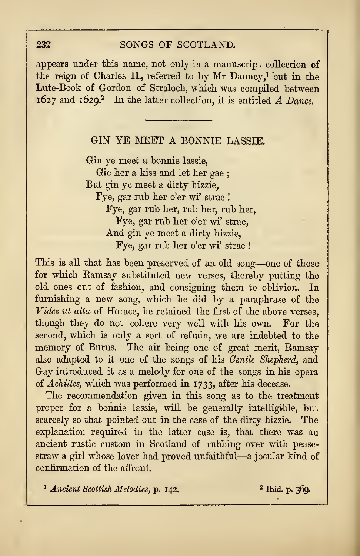## 232 SONGS OF SCOTLAND.

appears under this name, not only in a manuscript collection of the reign of Charles II., referred to by Mr Dauney,<sup>1</sup> but in the Lute-Book of Gordon of Straloch, which was compiled between  $1627$  and  $1629$ .<sup>2</sup> In the latter collection, it is entitled A Dance.

## GIN YE MEET A BONNIE LASSIE.

Gin ye meet a bonnie lassie, Gie her a kiss and let her gae ; But gin ye meet a dirty hizzie, Fye, gar rub her o'er wi' strae ! Fye, gar rub her, rub her, rub her, Fye, gar rub her o'er wi' strae, And gin ye meet a dirty hizzie, Fye, gar rub her o'er wi' strae !

This is all that has been preserved of an old song—one of those for which Bamsay substituted new verses, thereby putting the old ones out of fashion, and consigning them to oblivion. In furnishing a new song, which he did by a paraphrase of the Vides ut alta of Horace, he retained the first of the above verses, though they do not cohere very well with his own. For the second, which is only a sort of refrain, we are indebted to the memory of Burns. The air being one of great merit, Ramsay also adapted to it one of the songs of his Gentle Shepherd, and Gay introduced it as a melody for one of the songs in his opera of Achilles, which was performed in 1733, after his decease.

The recommendation given in this song as to the treatment proper for a bonnie lassie, will be generally intelligible, but scarcely so that pointed out in the case of the dirty hizzie. The explanation required in the latter case is, that there was an ancient rustic custom in Scotland of rubbing over with pease straw <sup>a</sup> girl whose lover had proved unfaithful—<sup>a</sup> jocular kind of confirmation of the affront.

 $1$  Ancient Scottish Melodies, p. 142.  $369$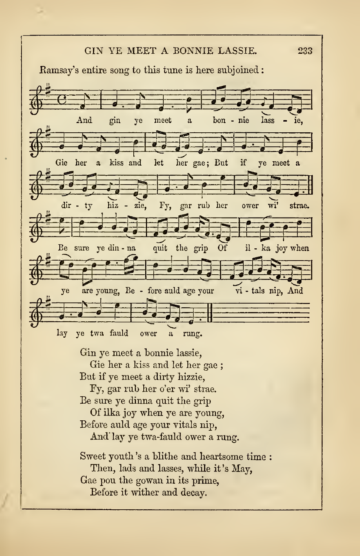

Then, lads and lasses, while it 's May,

Gae pou the gowan in its prime,

Before it wither and decay.